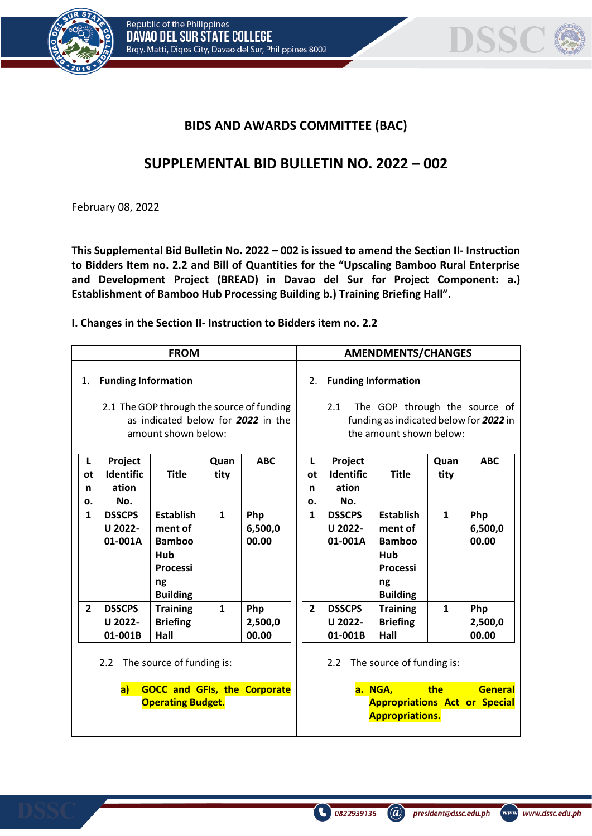



## **BIDS AND AWARDS COMMITTEE (BAC)**

## **SUPPLEMENTAL BID BULLETIN NO. 2022 – 002**

February 08, 2022

**This Supplemental Bid Bulletin No. 2022 – 002 is issued to amend the Section II- Instruction to Bidders Item no. 2.2 and Bill of Quantities for the "Upscaling Bamboo Rural Enterprise and Development Project (BREAD) in Davao del Sur for Project Component: a.) Establishment of Bamboo Hub Processing Building b.) Training Briefing Hall".**

**I. Changes in the Section II- Instruction to Bidders item no. 2.2**

| <b>FROM</b>                                                                                            |                                             |                                                                                                        |              |                         |                                                                                                                                               | <b>AMENDMENTS/CHANGES</b>            |                                                                                                        |              |                         |  |  |
|--------------------------------------------------------------------------------------------------------|---------------------------------------------|--------------------------------------------------------------------------------------------------------|--------------|-------------------------|-----------------------------------------------------------------------------------------------------------------------------------------------|--------------------------------------|--------------------------------------------------------------------------------------------------------|--------------|-------------------------|--|--|
| 1.                                                                                                     | <b>Funding Information</b>                  | 2.1 The GOP through the source of funding<br>as indicated below for 2022 in the<br>amount shown below: |              |                         | <b>Funding Information</b><br>2.<br>The GOP through the source of<br>2.1<br>funding as indicated below for 2022 in<br>the amount shown below: |                                      |                                                                                                        |              |                         |  |  |
| L<br>ot<br>n<br>ο.                                                                                     | Project<br><b>Identific</b><br>ation<br>No. | <b>Title</b>                                                                                           | Quan<br>tity | <b>ABC</b>              | L<br>0t<br>n<br>ο.                                                                                                                            | Project<br>Identific<br>ation<br>No. | <b>Title</b>                                                                                           | Quan<br>tity | <b>ABC</b>              |  |  |
| $\mathbf{1}$                                                                                           | <b>DSSCPS</b><br>U 2022-<br>01-001A         | <b>Establish</b><br>ment of<br><b>Bamboo</b><br>Hub<br><b>Processi</b><br>ng<br><b>Building</b>        | $\mathbf{1}$ | Php<br>6,500,0<br>00.00 | $\mathbf{1}$                                                                                                                                  | <b>DSSCPS</b><br>U 2022-<br>01-001A  | <b>Establish</b><br>ment of<br><b>Bamboo</b><br>Hub<br><b>Processi</b><br>ng<br><b>Building</b>        | $\mathbf{1}$ | Php<br>6,500,0<br>00.00 |  |  |
| $\overline{2}$                                                                                         | <b>DSSCPS</b><br>U 2022-<br>01-001B         | <b>Training</b><br><b>Briefing</b><br>Hall                                                             | $\mathbf{1}$ | Php<br>2,500,0<br>00.00 | $\overline{2}$                                                                                                                                | <b>DSSCPS</b><br>U 2022-<br>01-001B  | <b>Training</b><br><b>Briefing</b><br>Hall                                                             | $\mathbf{1}$ | Php<br>2,500,0<br>00.00 |  |  |
| 2.2 The source of funding is:<br>a)<br><b>GOCC and GFIs, the Corporate</b><br><b>Operating Budget.</b> |                                             |                                                                                                        |              |                         |                                                                                                                                               | 2.2                                  | The source of funding is:<br>a. NGA,<br><b>Appropriations Act or Special</b><br><b>Appropriations.</b> | the          | General                 |  |  |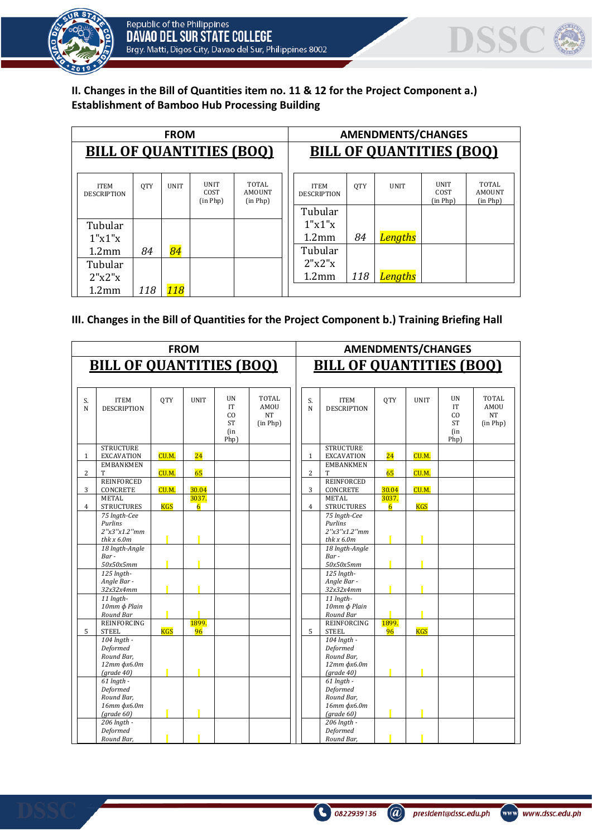



**II. Changes in the Bill of Quantities item no. 11 & 12 for the Project Component a.) Establishment of Bamboo Hub Processing Building**

|                                   |            | <b>FROM</b> |                                 |                                    | <b>AMENDMENTS/CHANGES</b>         |            |             |                                 |                                    |  |  |
|-----------------------------------|------------|-------------|---------------------------------|------------------------------------|-----------------------------------|------------|-------------|---------------------------------|------------------------------------|--|--|
| <b>BILL OF QUANTITIES (BOO)</b>   |            |             | <b>BILL OF QUANTITIES (BOO)</b> |                                    |                                   |            |             |                                 |                                    |  |  |
| <b>ITEM</b><br><b>DESCRIPTION</b> | <b>OTY</b> | <b>UNIT</b> | <b>UNIT</b><br>COST<br>(in Php) | TOTAL<br><b>AMOUNT</b><br>(in Php) | <b>ITEM</b><br><b>DESCRIPTION</b> | <b>OTY</b> | <b>UNIT</b> | <b>UNIT</b><br>COST<br>(in Php) | TOTAL<br><b>AMOUNT</b><br>(in PhD) |  |  |
|                                   |            |             |                                 |                                    | Tubular                           |            |             |                                 |                                    |  |  |
| Tubular                           |            |             |                                 |                                    | 1"x1"x                            |            |             |                                 |                                    |  |  |
| 1"x1"x                            |            |             |                                 |                                    | 1.2 <sub>mm</sub>                 | 84         | Lengths     |                                 |                                    |  |  |
| 1.2 <sub>mm</sub>                 | 84         | 84          |                                 |                                    | Tubular                           |            |             |                                 |                                    |  |  |
| Tubular                           |            |             |                                 |                                    | 2"x2"x                            |            |             |                                 |                                    |  |  |
| 2"x2"x                            |            |             |                                 |                                    | 1.2 <sub>mm</sub>                 | 118        | Lengths     |                                 |                                    |  |  |
| $1.2$ mm                          | 118        | <b>118</b>  |                                 |                                    |                                   |            |             |                                 |                                    |  |  |

## **III. Changes in the Bill of Quantities for the Project Component b.) Training Briefing Hall**

|                |                                                                               |            | <b>FROM</b>             |                                            |                                        |                |                                                                               |                         |             | <b>AMENDMENTS/CHANGES</b>                         |                                               |
|----------------|-------------------------------------------------------------------------------|------------|-------------------------|--------------------------------------------|----------------------------------------|----------------|-------------------------------------------------------------------------------|-------------------------|-------------|---------------------------------------------------|-----------------------------------------------|
|                | <b>BILL OF OUANTITIES (BOO)</b>                                               |            |                         |                                            |                                        |                | <b>BILL OF OUANTITIES (BOO)</b>                                               |                         |             |                                                   |                                               |
| S.<br>N        | <b>ITEM</b><br><b>DESCRIPTION</b>                                             | <b>OTY</b> | <b>UNIT</b>             | UN<br>IT<br>CO<br><b>ST</b><br>(in<br>Php) | <b>TOTAL</b><br>AMOU<br>NT<br>(in Php) | S.<br>N        | <b>ITEM</b><br><b>DESCRIPTION</b>                                             | <b>OTY</b>              | <b>UNIT</b> | <b>UN</b><br>IT<br>CO<br><b>ST</b><br>(in<br>Php) | <b>TOTAL</b><br>AMOU<br><b>NT</b><br>(in Php) |
| $\mathbf{1}$   | <b>STRUCTURE</b><br><b>EXCAVATION</b>                                         | CU.M.      | $\overline{24}$         |                                            |                                        | $\mathbf{1}$   | <b>STRUCTURE</b><br><b>EXCAVATION</b>                                         | 24                      | CU.M.       |                                                   |                                               |
| 2              | <b>EMBANKMEN</b><br>T                                                         | CU.M.      | 65                      |                                            |                                        | 2              | <b>EMBANKMEN</b><br>T                                                         | 65                      | CU.M.       |                                                   |                                               |
| 3              | <b>REINFORCED</b><br>CONCRETE                                                 | CU.M.      | 30.04                   |                                            |                                        | 3              | <b>REINFORCED</b><br>CONCRETE                                                 | 30.04                   | CU.M.       |                                                   |                                               |
| $\overline{4}$ | <b>METAL</b><br><b>STRUCTURES</b>                                             | <b>KGS</b> | 3037.<br>$\overline{6}$ |                                            |                                        | $\overline{4}$ | METAL<br><b>STRUCTURES</b>                                                    | 3037.<br>$\overline{6}$ | <b>KGS</b>  |                                                   |                                               |
|                | 75 Ingth-Cee<br>Purlins<br>2''x3''x1.2''mm<br>thk x 6.0m                      |            |                         |                                            |                                        |                | 75 Ingth-Cee<br><b>Purlins</b><br>2''x3''x1.2''mm<br>thk x 6.0m               |                         |             |                                                   |                                               |
|                | 18 Ingth-Angle<br>Bar-<br>50x50x5mm                                           |            |                         |                                            |                                        |                | 18 Ingth-Angle<br>Bar-<br>50x50x5mm                                           |                         |             |                                                   |                                               |
|                | 125 Ingth-<br>Angle Bar -<br>32x32x4mm                                        |            |                         |                                            |                                        |                | 125 Ingth-<br>Angle Bar -<br>32x32x4mm                                        |                         |             |                                                   |                                               |
|                | 11 Ingth-<br>10mm φ Plain<br>Round Bar                                        |            |                         |                                            |                                        |                | 11 Ingth-<br>10mm ф Plain<br>Round Bar                                        |                         |             |                                                   |                                               |
| 5              | <b>REINFORCING</b><br><b>STEEL</b>                                            | <b>KGS</b> | 1899.<br>96             |                                            |                                        | 5              | <b>REINFORCING</b><br><b>STEEL</b>                                            | 1899.<br>96             | <b>KGS</b>  |                                                   |                                               |
|                | 104 Ingth -<br>Deformed<br>Round Bar.<br>12тт фх6.0т<br>$(\text{grade }40)$   |            |                         |                                            |                                        |                | $104$ lngth -<br>Deformed<br>Round Bar.<br>12тт фх6.0т<br>$(\text{grade }40)$ |                         |             |                                                   |                                               |
|                | $61$ lngth -<br>Deformed<br>Round Bar.<br>16тт фх6.0т<br>$(\text{grade } 60)$ |            |                         |                                            |                                        |                | $61$ lngth -<br>Deformed<br>Round Bar.<br>16тт фх6.0т<br>$(\text{grade } 60)$ |                         |             |                                                   |                                               |
|                | 206 lngth -<br>Deformed<br>Round Bar,                                         |            |                         |                                            |                                        |                | 206 Ingth -<br>Deformed<br>Round Bar.                                         |                         |             |                                                   |                                               |